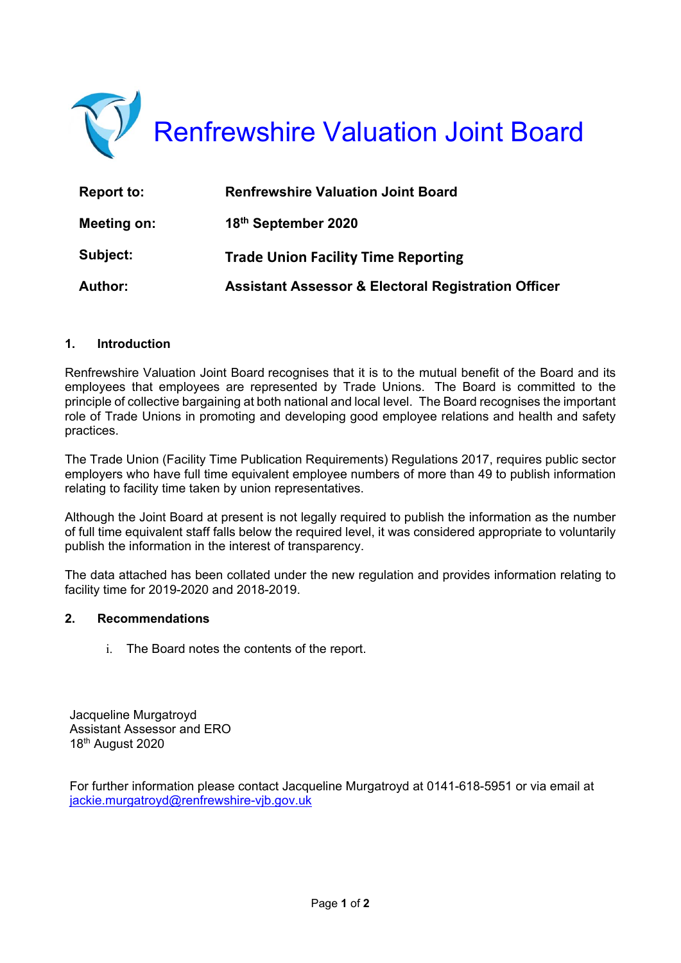

| Report to:     | <b>Renfrewshire Valuation Joint Board</b>                      |
|----------------|----------------------------------------------------------------|
| Meeting on:    | 18th September 2020                                            |
| Subject:       | <b>Trade Union Facility Time Reporting</b>                     |
| <b>Author:</b> | <b>Assistant Assessor &amp; Electoral Registration Officer</b> |

## **1. Introduction**

Renfrewshire Valuation Joint Board recognises that it is to the mutual benefit of the Board and its employees that employees are represented by Trade Unions. The Board is committed to the principle of collective bargaining at both national and local level. The Board recognises the important role of Trade Unions in promoting and developing good employee relations and health and safety practices.

The Trade Union (Facility Time Publication Requirements) Regulations 2017, requires public sector employers who have full time equivalent employee numbers of more than 49 to publish information relating to facility time taken by union representatives.

Although the Joint Board at present is not legally required to publish the information as the number of full time equivalent staff falls below the required level, it was considered appropriate to voluntarily publish the information in the interest of transparency.

The data attached has been collated under the new regulation and provides information relating to facility time for 2019-2020 and 2018-2019.

## **2. Recommendations**

i. The Board notes the contents of the report.

Jacqueline Murgatroyd Assistant Assessor and ERO 18th August 2020

For further information please contact Jacqueline Murgatroyd at 0141-618-5951 or via email at jackie.murgatroyd@renfrewshire-vjb.gov.uk